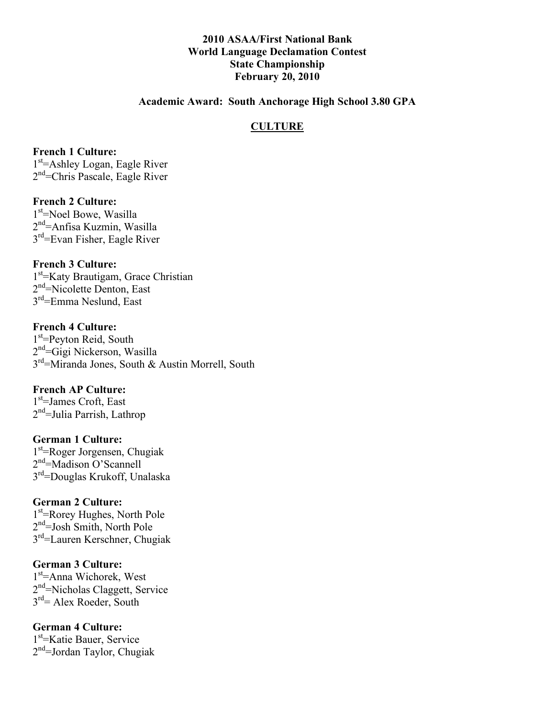#### **2010 ASAA/First National Bank World Language Declamation Contest State Championship February 20, 2010**

#### **Academic Award: South Anchorage High School 3.80 GPA**

#### **CULTURE**

**French 1 Culture:** 1<sup>st</sup>=Ashley Logan, Eagle River 2<sup>nd</sup>=Chris Pascale, Eagle River

**French 2 Culture:** 1<sup>st</sup>=Noel Bowe, Wasilla 2<sup>nd</sup>=Anfisa Kuzmin, Wasilla 3rd=Evan Fisher, Eagle River

**French 3 Culture:** 1<sup>st</sup>=Katy Brautigam, Grace Christian 2<sup>nd</sup>=Nicolette Denton, East 3rd=Emma Neslund, East

**French 4 Culture:** 1<sup>st</sup>=Peyton Reid, South 2<sup>nd</sup>=Gigi Nickerson, Wasilla 3rd=Miranda Jones, South & Austin Morrell, South

**French AP Culture:** 1<sup>st</sup>=James Croft, East 2<sup>nd</sup>=Julia Parrish, Lathrop

**German 1 Culture:** 1<sup>st</sup>=Roger Jorgensen, Chugiak 2<sup>nd</sup>=Madison O'Scannell 3rd=Douglas Krukoff, Unalaska

# **German 2 Culture:**

1<sup>st</sup>=Rorey Hughes, North Pole 2<sup>nd</sup>=Josh Smith, North Pole 3rd=Lauren Kerschner, Chugiak

#### **German 3 Culture:**

1<sup>st</sup>=Anna Wichorek, West 2<sup>nd</sup>=Nicholas Claggett, Service  $3<sup>rd</sup>$  Alex Roeder, South

**German 4 Culture:**

1st =Katie Bauer, Service 2<sup>nd</sup>=Jordan Taylor, Chugiak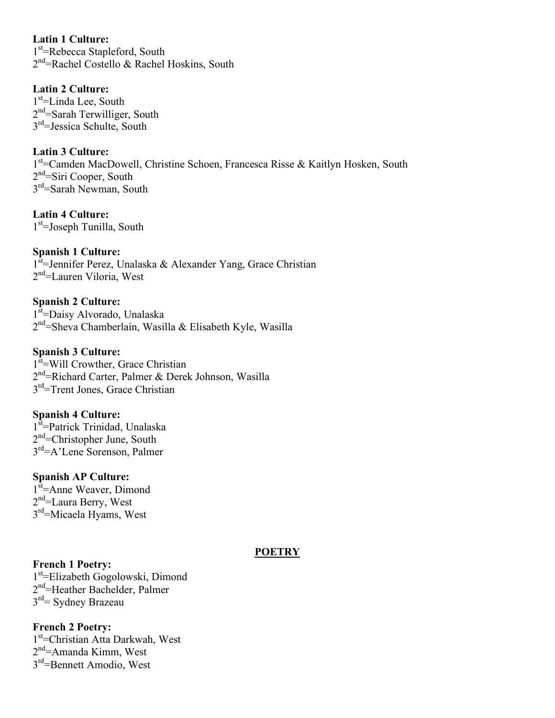**Latin 1 Culture:** 1<sup>st</sup>=Rebecca Stapleford, South 2<sup>nd</sup>=Rachel Costello & Rachel Hoskins, South

**Latin 2 Culture:** 1<sup>st</sup>=Linda Lee, South 2<sup>nd</sup>=Sarah Terwilliger, South  $3<sup>rd</sup>$ =Jessica Schulte, South

**Latin 3 Culture:** 1<sup>st</sup>=Camden MacDowell, Christine Schoen, Francesca Risse & Kaitlyn Hosken, South 2<sup>nd</sup>=Siri Cooper, South 3<sup>rd</sup>=Sarah Newman, South

**Latin 4 Culture:** 1<sup>st</sup>=Joseph Tunilla, South

**Spanish 1 Culture:** 1<sup>st</sup>=Jennifer Perez, Unalaska & Alexander Yang, Grace Christian 2<sup>nd</sup>=Lauren Viloria, West

**Spanish 2 Culture:** 1<sup>st</sup>=Daisy Alvorado, Unalaska 2<sup>nd</sup>=Sheva Chamberlain, Wasilla & Elisabeth Kyle, Wasilla

**Spanish 3 Culture:** 1<sup>st</sup>=Will Crowther, Grace Christian 2<sup>nd</sup> = Richard Carter, Palmer & Derek Johnson, Wasilla 3<sup>rd</sup>=Trent Jones, Grace Christian

**Spanish 4 Culture:** 1<sup>st</sup>=Patrick Trinidad, Unalaska 2<sup>nd</sup>=Christopher June, South 3<sup>rd</sup>=A'Lene Sorenson, Palmer

**Spanish AP Culture:** 1<sup>st</sup>=Anne Weaver, Dimond 2<sup>nd</sup>=Laura Berry, West 3<sup>rd</sup>=Micaela Hyams, West

**French 1 Poetry:** 1<sup>st</sup>=Elizabeth Gogolowski, Dimond 2<sup>nd</sup>=Heather Bachelder, Palmer 3rd= Sydney Brazeau

**French 2 Poetry:** 1<sup>st</sup>=Christian Atta Darkwah, West 2<sup>nd</sup>=Amanda Kimm, West 3rd=Bennett Amodio, West

### **POETRY**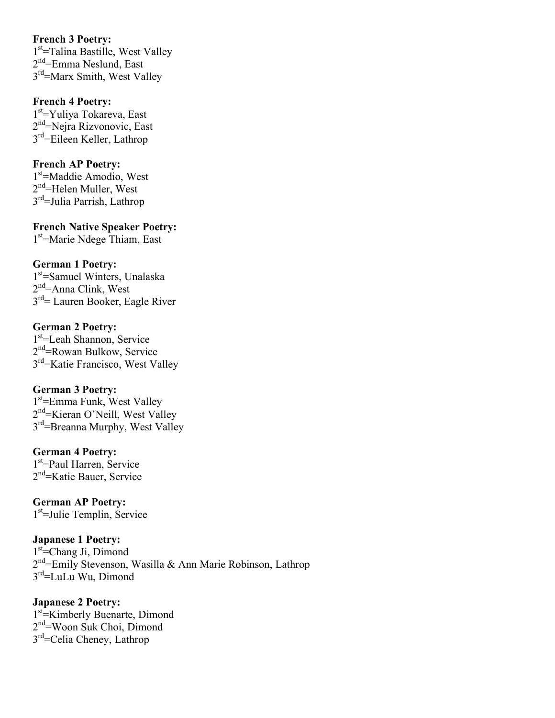#### **French 3 Poetry:**

1<sup>st</sup>=Talina Bastille, West Valley 2<sup>nd</sup>=Emma Neslund, East 3rd=Marx Smith, West Valley

#### **French 4 Poetry:**

1st =Yuliya Tokareva, East 2<sup>nd</sup>=Nejra Rizvonovic, East  $3<sup>rd</sup>$ =Eileen Keller, Lathrop

#### **French AP Poetry:**

1<sup>st</sup>=Maddie Amodio, West 2<sup>nd</sup>=Helen Muller, West 3rd=Julia Parrish, Lathrop

**French Native Speaker Poetry:** 1st =Marie Ndege Thiam, East

### **German 1 Poetry:**

1<sup>st</sup>=Samuel Winters, Unalaska 2<sup>nd</sup>=Anna Clink, West 3rd= Lauren Booker, Eagle River

#### **German 2 Poetry:**

1st =Leah Shannon, Service 2<sup>nd</sup>=Rowan Bulkow, Service 3rd=Katie Francisco, West Valley

### **German 3 Poetry:**

1<sup>st</sup>=Emma Funk, West Valley 2<sup>nd</sup>=Kieran O'Neill, West Valley 3<sup>rd</sup>=Breanna Murphy, West Valley

### **German 4 Poetry:**

1<sup>st</sup>=Paul Harren, Service 2<sup>nd</sup>=Katie Bauer, Service

**German AP Poetry:** 1st =Julie Templin, Service

**Japanese 1 Poetry:** 1<sup>st</sup>=Chang Ji, Dimond 2<sup>nd</sup>=Emily Stevenson, Wasilla & Ann Marie Robinson, Lathrop 3rd=LuLu Wu, Dimond

**Japanese 2 Poetry:** 1<sup>st</sup> Kimberly Buenarte, Dimond 2<sup>nd</sup>=Woon Suk Choi, Dimond 3<sup>rd</sup>=Celia Cheney, Lathrop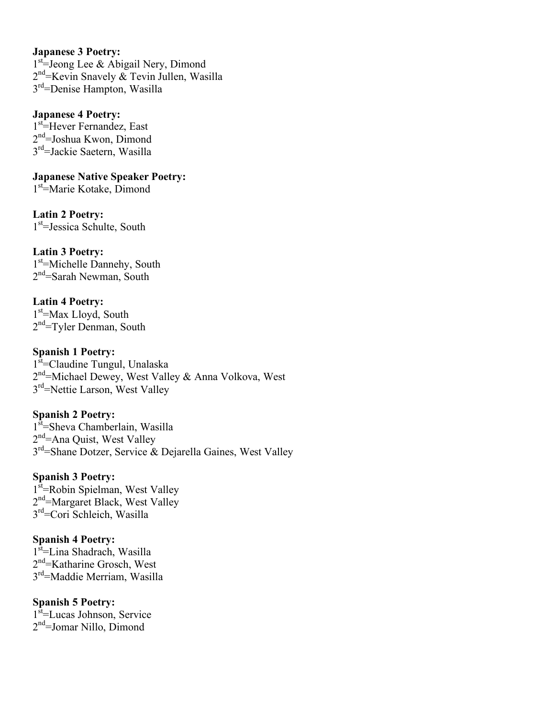#### **Japanese 3 Poetry:**

1<sup>st</sup>=Jeong Lee & Abigail Nery, Dimond 2<sup>nd</sup>=Kevin Snavely & Tevin Jullen, Wasilla 3rd=Denise Hampton, Wasilla

#### **Japanese 4 Poetry:**

1<sup>st</sup>=Hever Fernandez, East 2<sup>nd</sup>=Joshua Kwon, Dimond 3rd=Jackie Saetern, Wasilla

**Japanese Native Speaker Poetry:** 1<sup>st</sup>=Marie Kotake, Dimond

**Latin 2 Poetry:** 1st =Jessica Schulte, South

**Latin 3 Poetry:** 1<sup>st</sup>=Michelle Dannehy, South 2<sup>nd</sup>=Sarah Newman, South

**Latin 4 Poetry:** 1<sup>st</sup>=Max Lloyd, South  $2<sup>nd</sup>$ =Tyler Denman, South

**Spanish 1 Poetry:** 1<sup>st</sup>=Claudine Tungul, Unalaska 2<sup>nd</sup>=Michael Dewey, West Valley & Anna Volkova, West 3<sup>rd</sup>=Nettie Larson, West Valley

**Spanish 2 Poetry:** 1<sup>st</sup>=Sheva Chamberlain, Wasilla 2<sup>nd</sup>=Ana Quist, West Valley 3<sup>rd</sup>=Shane Dotzer, Service & Dejarella Gaines, West Valley

**Spanish 3 Poetry:** 1<sup>st</sup>=Robin Spielman, West Valley 2<sup>nd</sup>=Margaret Black, West Valley 3rd=Cori Schleich, Wasilla

**Spanish 4 Poetry:** 1<sup>st</sup>=Lina Shadrach, Wasilla 2<sup>nd</sup>=Katharine Grosch, West 3rd=Maddie Merriam, Wasilla

**Spanish 5 Poetry:** 1<sup>st</sup>=Lucas Johnson, Service 2<sup>nd</sup>=Jomar Nillo, Dimond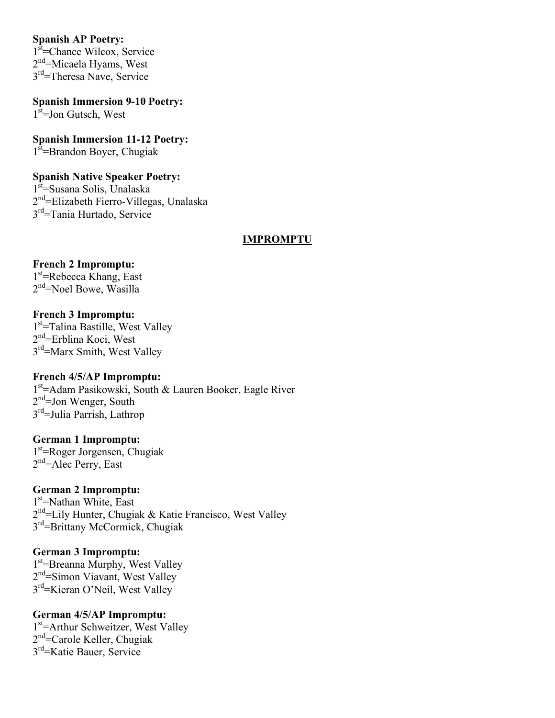#### **Spanish AP Poetry:**

1<sup>st</sup>=Chance Wilcox, Service 2<sup>nd</sup>=Micaela Hyams, West 3<sup>rd</sup>=Theresa Nave, Service

**Spanish Immersion 9-10 Poetry:** 1<sup>st</sup>=Jon Gutsch, West

**Spanish Immersion 11-12 Poetry:** 1<sup>st</sup>=Brandon Boyer, Chugiak

#### **Spanish Native Speaker Poetry:**

1<sup>st</sup>=Susana Solis, Unalaska 2<sup>nd</sup>=Elizabeth Fierro-Villegas, Unalaska 3rd=Tania Hurtado, Service

#### **IMPROMPTU**

## **French 2 Impromptu:**

1<sup>st</sup>=Rebecca Khang, East 2<sup>nd</sup>=Noel Bowe, Wasilla

#### **French 3 Impromptu:**

1<sup>st</sup>=Talina Bastille, West Valley 2<sup>nd</sup>=Erblina Koci, West 3rd=Marx Smith, West Valley

#### **French 4/5/AP Impromptu:**

1<sup>st</sup>=Adam Pasikowski, South & Lauren Booker, Eagle River 2<sup>nd</sup>=Jon Wenger, South 3rd=Julia Parrish, Lathrop

### **German 1 Impromptu:**

1st =Roger Jorgensen, Chugiak 2<sup>nd</sup>=Alec Perry, East

#### **German 2 Impromptu:**

1<sup>st</sup>=Nathan White, East 2<sup>nd</sup>=Lily Hunter, Chugiak & Katie Francisco, West Valley 3rd=Brittany McCormick, Chugiak

#### **German 3 Impromptu:**

1<sup>st</sup>=Breanna Murphy, West Valley 2<sup>nd</sup>=Simon Viavant, West Valley 3rd=Kieran O'Neil, West Valley

#### **German 4/5/AP Impromptu:**

1<sup>st</sup>=Arthur Schweitzer, West Valley 2<sup>nd</sup>=Carole Keller, Chugiak 3rd=Katie Bauer, Service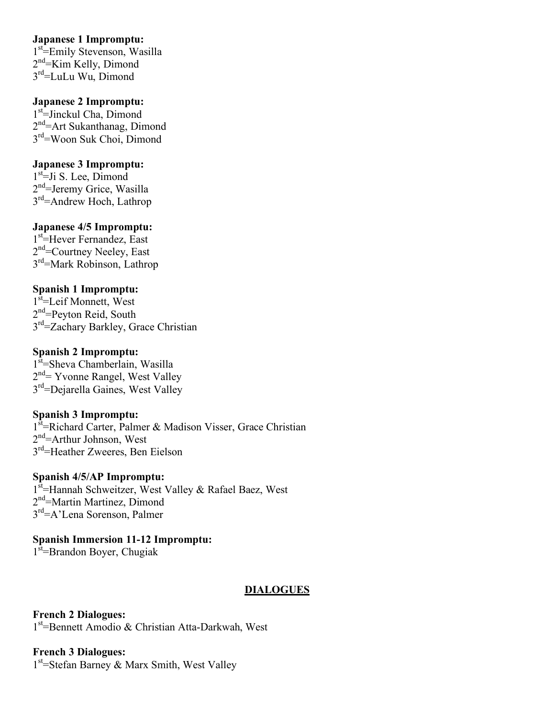### **Japanese 1 Impromptu:**

1<sup>st</sup>=Emily Stevenson, Wasilla 2<sup>nd</sup>=Kim Kelly, Dimond 3rd=LuLu Wu, Dimond

### **Japanese 2 Impromptu:**

1<sup>st</sup>=Jinckul Cha, Dimond 2<sup>nd</sup>=Art Sukanthanag, Dimond 3<sup>rd</sup>=Woon Suk Choi, Dimond

## **Japanese 3 Impromptu:**

1<sup>st</sup>=Ji S. Lee, Dimond 2<sup>nd</sup>=Jeremy Grice, Wasilla 3rd=Andrew Hoch, Lathrop

## **Japanese 4/5 Impromptu:**

1<sup>st</sup>=Hever Fernandez, East 2<sup>nd</sup>=Courtney Neeley, East 3rd=Mark Robinson, Lathrop

# **Spanish 1 Impromptu:**

1<sup>st</sup>=Leif Monnett, West 2<sup>nd</sup>=Peyton Reid, South 3<sup>rd</sup>=Zachary Barkley, Grace Christian

### **Spanish 2 Impromptu:**

1<sup>st</sup>=Sheva Chamberlain, Wasilla 2<sup>nd</sup>= Yvonne Rangel, West Valley 3<sup>rd</sup>=Dejarella Gaines, West Valley

### **Spanish 3 Impromptu:**

1<sup>st</sup>=Richard Carter, Palmer & Madison Visser, Grace Christian 2<sup>nd</sup>=Arthur Johnson, West 3rd=Heather Zweeres, Ben Eielson

### **Spanish 4/5/AP Impromptu:**

1st = Hannah Schweitzer, West Valley & Rafael Baez, West 2<sup>nd</sup>=Martin Martinez, Dimond 3rd=A'Lena Sorenson, Palmer

# **Spanish Immersion 11-12 Impromptu:**

1<sup>st</sup>=Brandon Boyer, Chugiak

### **DIALOGUES**

**French 2 Dialogues:** 1<sup>st</sup>=Bennett Amodio & Christian Atta-Darkwah, West

## **French 3 Dialogues:** 1<sup>st</sup>=Stefan Barney & Marx Smith, West Valley